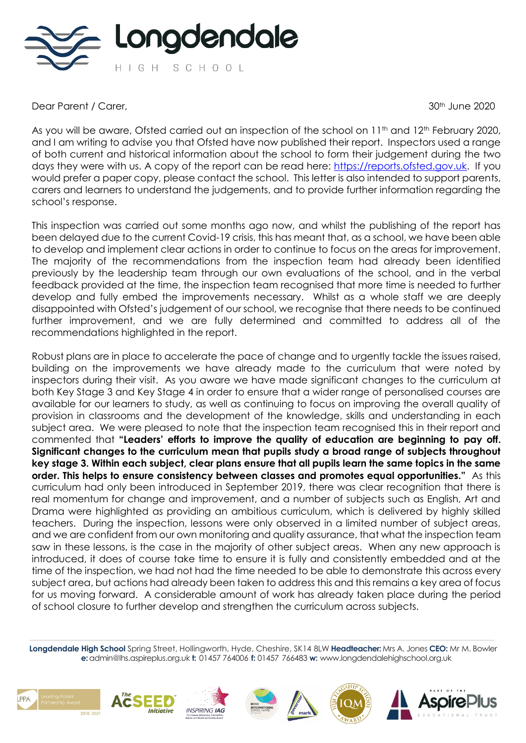

Dear Parent / Carer, 30th June 2020

As you will be aware, Ofsted carried out an inspection of the school on 11<sup>th</sup> and 12<sup>th</sup> February 2020, and I am writing to advise you that Ofsted have now published their report. Inspectors used a range of both current and historical information about the school to form their judgement during the two days they were with us. A copy of the report can be read here: [https://reports.ofsted.gov.uk.](https://reports.ofsted.gov.uk/) If you would prefer a paper copy, please contact the school. This letter is also intended to support parents, carers and learners to understand the judgements, and to provide further information regarding the school's response.

This inspection was carried out some months ago now, and whilst the publishing of the report has been delayed due to the current Covid-19 crisis, this has meant that, as a school, we have been able to develop and implement clear actions in order to continue to focus on the areas for improvement. The majority of the recommendations from the inspection team had already been identified previously by the leadership team through our own evaluations of the school, and in the verbal feedback provided at the time, the inspection team recognised that more time is needed to further develop and fully embed the improvements necessary. Whilst as a whole staff we are deeply disappointed with Ofsted's judgement of our school, we recognise that there needs to be continued further improvement, and we are fully determined and committed to address all of the recommendations highlighted in the report.

Robust plans are in place to accelerate the pace of change and to urgently tackle the issues raised, building on the improvements we have already made to the curriculum that were noted by inspectors during their visit. As you aware we have made significant changes to the curriculum at both Key Stage 3 and Key Stage 4 in order to ensure that a wider range of personalised courses are available for our learners to study, as well as continuing to focus on improving the overall quality of provision in classrooms and the development of the knowledge, skills and understanding in each subject area. We were pleased to note that the inspection team recognised this in their report and commented that **"Leaders' efforts to improve the quality of education are beginning to pay off. Significant changes to the curriculum mean that pupils study a broad range of subjects throughout key stage 3. Within each subject, clear plans ensure that all pupils learn the same topics in the same order. This helps to ensure consistency between classes and promotes equal opportunities."** As this curriculum had only been introduced in September 2019, there was clear recognition that there is real momentum for change and improvement, and a number of subjects such as English, Art and Drama were highlighted as providing an ambitious curriculum, which is delivered by highly skilled teachers. During the inspection, lessons were only observed in a limited number of subject areas, and we are confident from our own monitoring and quality assurance, that what the inspection team saw in these lessons, is the case in the majority of other subject areas. When any new approach is introduced, it does of course take time to ensure it is fully and consistently embedded and at the time of the inspection, we had not had the time needed to be able to demonstrate this across every subject area, but actions had already been taken to address this and this remains a key area of focus for us moving forward. A considerable amount of work has already taken place during the period of school closure to further develop and strengthen the curriculum across subjects.











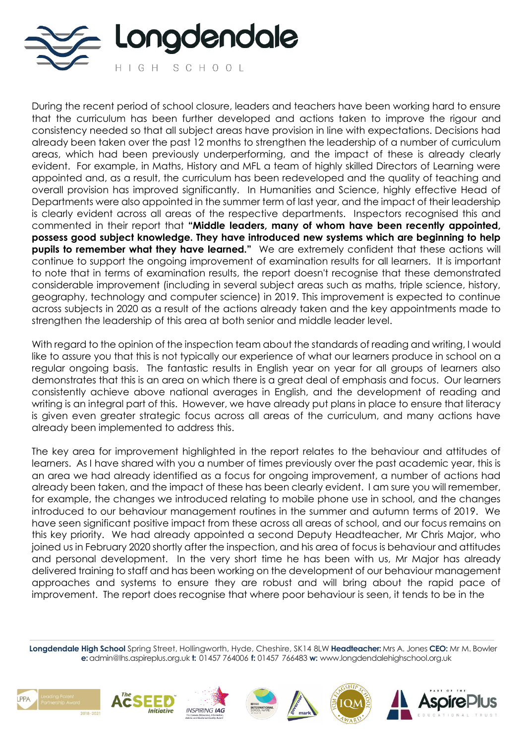

During the recent period of school closure, leaders and teachers have been working hard to ensure that the curriculum has been further developed and actions taken to improve the rigour and consistency needed so that all subject areas have provision in line with expectations. Decisions had already been taken over the past 12 months to strengthen the leadership of a number of curriculum areas, which had been previously underperforming, and the impact of these is already clearly evident. For example, in Maths, History and MFL a team of highly skilled Directors of Learning were appointed and, as a result, the curriculum has been redeveloped and the quality of teaching and overall provision has improved significantly. In Humanities and Science, highly effective Head of Departments were also appointed in the summer term of last year, and the impact of their leadership is clearly evident across all areas of the respective departments. Inspectors recognised this and commented in their report that **"Middle leaders, many of whom have been recently appointed, possess good subject knowledge. They have introduced new systems which are beginning to help pupils to remember what they have learned."** We are extremely confident that these actions will continue to support the ongoing improvement of examination results for all learners. It is important to note that in terms of examination results, the report doesn't recognise that these demonstrated considerable improvement (including in several subject areas such as maths, triple science, history, geography, technology and computer science) in 2019. This improvement is expected to continue across subjects in 2020 as a result of the actions already taken and the key appointments made to strengthen the leadership of this area at both senior and middle leader level.

With regard to the opinion of the inspection team about the standards of reading and writing, I would like to assure you that this is not typically our experience of what our learners produce in school on a regular ongoing basis. The fantastic results in English year on year for all groups of learners also demonstrates that this is an area on which there is a great deal of emphasis and focus. Our learners consistently achieve above national averages in English, and the development of reading and writing is an integral part of this. However, we have already put plans in place to ensure that literacy is given even greater strategic focus across all areas of the curriculum, and many actions have already been implemented to address this.

The key area for improvement highlighted in the report relates to the behaviour and attitudes of learners. As I have shared with you a number of times previously over the past academic year, this is an area we had already identified as a focus for ongoing improvement, a number of actions had already been taken, and the impact of these has been clearly evident. I am sure you will remember, for example, the changes we introduced relating to mobile phone use in school, and the changes introduced to our behaviour management routines in the summer and autumn terms of 2019. We have seen significant positive impact from these across all areas of school, and our focus remains on this key priority. We had already appointed a second Deputy Headteacher, Mr Chris Major, who joined us in February 2020 shortly after the inspection, and his area of focus is behaviour and attitudes and personal development. In the very short time he has been with us, Mr Major has already delivered training to staff and has been working on the development of our behaviour management approaches and systems to ensure they are robust and will bring about the rapid pace of improvement. The report does recognise that where poor behaviour is seen, it tends to be in the











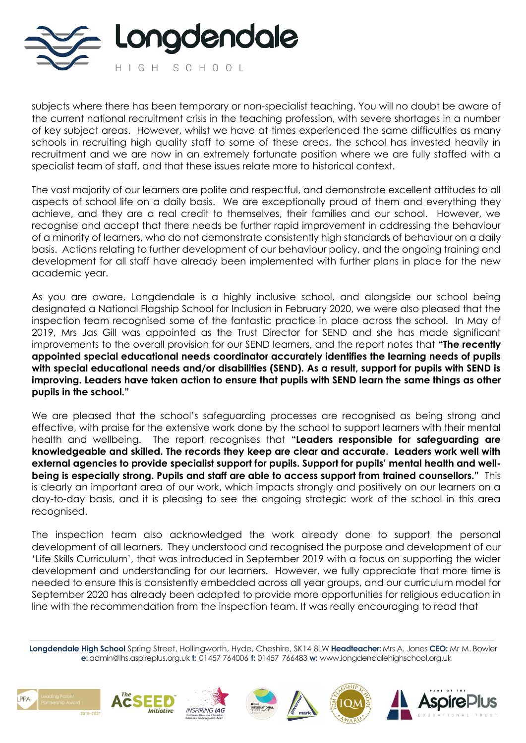

subjects where there has been temporary or non-specialist teaching. You will no doubt be aware of the current national recruitment crisis in the teaching profession, with severe shortages in a number of key subject areas. However, whilst we have at times experienced the same difficulties as many schools in recruiting high quality staff to some of these areas, the school has invested heavily in recruitment and we are now in an extremely fortunate position where we are fully staffed with a specialist team of staff, and that these issues relate more to historical context.

The vast majority of our learners are polite and respectful, and demonstrate excellent attitudes to all aspects of school life on a daily basis. We are exceptionally proud of them and everything they achieve, and they are a real credit to themselves, their families and our school. However, we recognise and accept that there needs be further rapid improvement in addressing the behaviour of a minority of learners, who do not demonstrate consistently high standards of behaviour on a daily basis. Actions relating to further development of our behaviour policy, and the ongoing training and development for all staff have already been implemented with further plans in place for the new academic year.

As you are aware, Longdendale is a highly inclusive school, and alongside our school being designated a National Flagship School for Inclusion in February 2020, we were also pleased that the inspection team recognised some of the fantastic practice in place across the school. In May of 2019, Mrs Jas Gill was appointed as the Trust Director for SEND and she has made significant improvements to the overall provision for our SEND learners, and the report notes that **"The recently appointed special educational needs coordinator accurately identifies the learning needs of pupils with special educational needs and/or disabilities (SEND). As a result, support for pupils with SEND is improving. Leaders have taken action to ensure that pupils with SEND learn the same things as other pupils in the school."** 

We are pleased that the school's safeguarding processes are recognised as being strong and effective, with praise for the extensive work done by the school to support learners with their mental health and wellbeing. The report recognises that **"Leaders responsible for safeguarding are knowledgeable and skilled. The records they keep are clear and accurate. Leaders work well with external agencies to provide specialist support for pupils. Support for pupils' mental health and wellbeing is especially strong. Pupils and staff are able to access support from trained counsellors."** This is clearly an important area of our work, which impacts strongly and positively on our learners on a day-to-day basis, and it is pleasing to see the ongoing strategic work of the school in this area recognised.

The inspection team also acknowledged the work already done to support the personal development of all learners. They understood and recognised the purpose and development of our 'Life Skills Curriculum', that was introduced in September 2019 with a focus on supporting the wider development and understanding for our learners. However, we fully appreciate that more time is needed to ensure this is consistently embedded across all year groups, and our curriculum model for September 2020 has already been adapted to provide more opportunities for religious education in line with the recommendation from the inspection team. It was really encouraging to read that